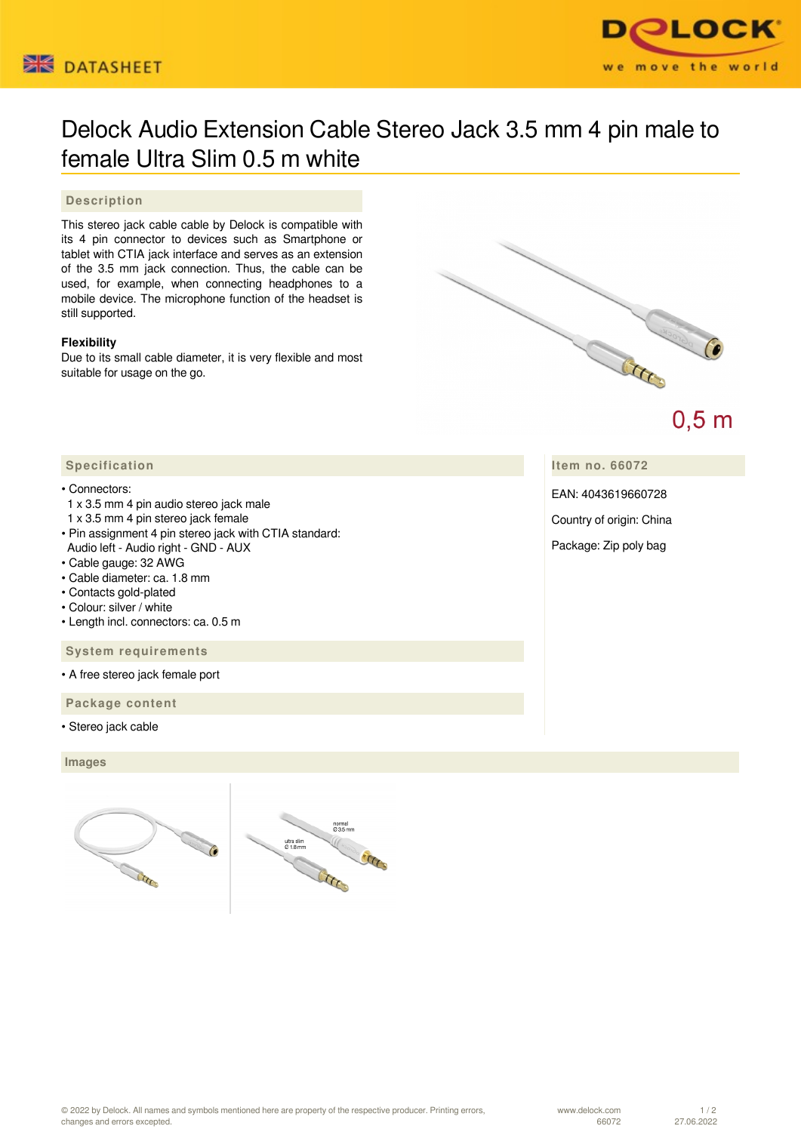



# Delock Audio Extension Cable Stereo Jack 3.5 mm 4 pin male to female Ultra Slim 0.5 m white

# **Description**

This stereo jack cable cable by Delock is compatible with its 4 pin connector to devices such as Smartphone or tablet with CTIA jack interface and serves as an extension of the 3.5 mm jack connection. Thus, the cable can be used, for example, when connecting headphones to a mobile device. The microphone function of the headset is still supported.

# **Flexibility**

Due to its small cable diameter, it is very flexible and most suitable for usage on the go.



 $0,5$  m

**Item no. 66072**

EAN: 4043619660728

Country of origin: China

Package: Zip poly bag

### **Specification**

#### • Connectors:

- 1 x 3.5 mm 4 pin audio stereo jack male
- 1 x 3.5 mm 4 pin stereo jack female
- Pin assignment 4 pin stereo jack with CTIA standard: Audio left - Audio right - GND - AUX
- Cable gauge: 32 AWG
- Cable diameter: ca. 1.8 mm
- Contacts gold-plated
- Colour: silver / white
- Length incl. connectors: ca. 0.5 m

 **System requirements**

• A free stereo jack female port

 **Package content**

• Stereo jack cable

#### **Images**